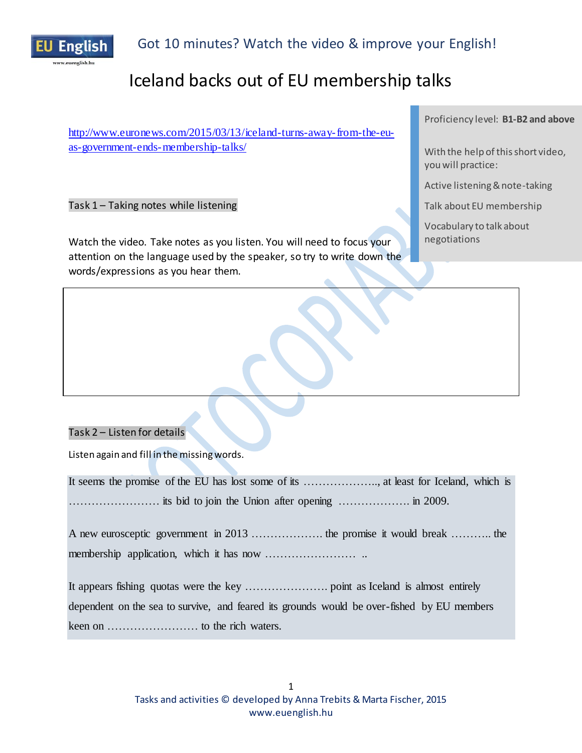

# Iceland backs out of EU membership talks

[http://www.euronews.com/2015/03/13/iceland-turns-away-from-the-eu](http://www.euronews.com/2015/03/13/iceland-turns-away-from-the-eu-as-government-ends-membership-talks/)[as-government-ends-membership-talks/](http://www.euronews.com/2015/03/13/iceland-turns-away-from-the-eu-as-government-ends-membership-talks/)

Task 1 – Taking notes while listening

Watch the video. Take notes as you listen. You will need to focus your attention on the language used by the speaker, so try to write down the words/expressions as you hear them.

Proficiency level: **B1-B2 and above**

With the help of this short video, you will practice:

Active listening & note-taking

Talk about EU membership

Vocabulary to talk about negotiations

### Task 2 – Listen for details

Listen again and fill in the missing words.

It seems the promise of the EU has lost some of its ……………….., at least for [Iceland,](http://www.euronews.com/tag/iceland/) which is …………………… its bid to join the Union after opening ………………. in 2009.

A new eurosceptic government in 2013 ………………. the promise it would break ……….. the membership application, which it has now …………………… ..

It appears fishing quotas were the key …………………. point as Iceland is almost entirely dependent on the sea to survive, and feared its grounds would be over-fished by EU members keen on …………………… to the rich waters.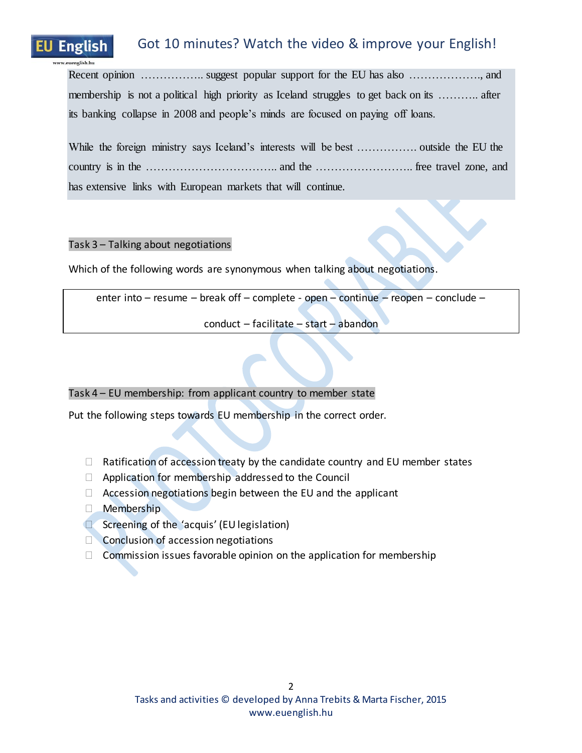# English

# Got 10 minutes? Watch the video & improve your English!

Recent opinion …………….. suggest popular support for the EU has also ………………., and membership is not a political high priority as Iceland struggles to get back on its ……….. after its banking collapse in 2008 and people's minds are focused on paying off loans.

| has extensive links with European markets that will continue. |  |  |  |  |  |  |  |
|---------------------------------------------------------------|--|--|--|--|--|--|--|

### Task 3 – Talking about negotiations

Which of the following words are synonymous when talking about negotiations.

enter into – resume – break off – complete - open – continue – reopen – conclude –

conduct – facilitate – start – abandon

### Task 4 – EU membership: from applicant country to member state

Put the following steps towards EU membership in the correct order.

- $\Box$  Ratification of accession treaty by the candidate country and EU member states
- $\Box$  Application for membership addressed to the Council
- $\Box$  Accession negotiations begin between the EU and the applicant
- D Membership
- **Screening of the 'acquis' (EU legislation)**
- Conclusion of accession negotiations
- $\Box$  Commission issues favorable opinion on the application for membership